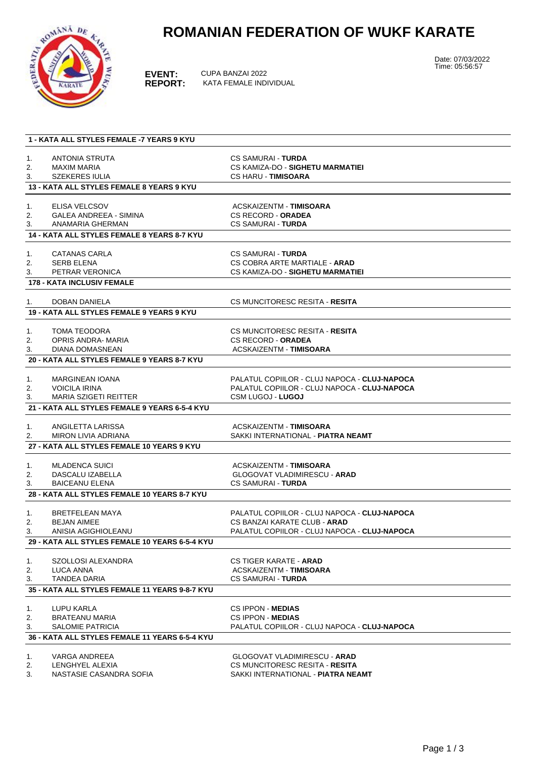# **ROMANIAN FEDERATION OF WUKF KARATE**



**EVENT:** CUPA BANZAI 2022<br>**REPORT:** KATA FEMALE INDI **KATA FEMALE INDIVIDUAL**  Date: 07/03/2022 Time: 05:56:57

|          | 1 - KATA ALL STYLES FEMALE -7 YEARS 9 KYU             |                                                                              |
|----------|-------------------------------------------------------|------------------------------------------------------------------------------|
|          |                                                       |                                                                              |
| 1.       | ANTONIA STRUTA                                        | <b>CS SAMURAI - TURDA</b>                                                    |
| 2.       | <b>MAXIM MARIA</b>                                    | CS KAMIZA-DO - SIGHETU MARMATIEI                                             |
| 3.       | <b>SZEKERES IULIA</b>                                 | <b>CS HARU - TIMISOARA</b>                                                   |
|          | 13 - KATA ALL STYLES FEMALE 8 YEARS 9 KYU             |                                                                              |
|          |                                                       |                                                                              |
| 1.<br>2. | <b>ELISA VELCSOV</b><br><b>GALEA ANDREEA - SIMINA</b> | ACSKAIZENTM - TIMISOARA<br><b>CS RECORD - ORADEA</b>                         |
| 3.       | ANAMARIA GHERMAN                                      | <b>CS SAMURAI - TURDA</b>                                                    |
|          | <b>14 - KATA ALL STYLES FEMALE 8 YEARS 8-7 KYU</b>    |                                                                              |
|          |                                                       |                                                                              |
| 1.       | <b>CATANAS CARLA</b>                                  | <b>CS SAMURAI - TURDA</b>                                                    |
| 2.       | <b>SERB ELENA</b>                                     | CS COBRA ARTE MARTIALE - ARAD                                                |
| 3.       | PETRAR VERONICA                                       | CS KAMIZA-DO - SIGHETU MARMATIEI                                             |
|          | <b>178 - KATA INCLUSIV FEMALE</b>                     |                                                                              |
|          |                                                       |                                                                              |
| 1.       | <b>DOBAN DANIELA</b>                                  | CS MUNCITORESC RESITA - RESITA                                               |
|          | 19 - KATA ALL STYLES FEMALE 9 YEARS 9 KYU             |                                                                              |
|          |                                                       |                                                                              |
| 1.       | <b>TOMA TEODORA</b>                                   | CS MUNCITORESC RESITA - RESITA                                               |
| 2.       | OPRIS ANDRA- MARIA                                    | <b>CS RECORD - ORADEA</b>                                                    |
| 3.       | <b>DIANA DOMASNEAN</b>                                | ACSKAIZENTM - TIMISOARA                                                      |
|          | 20 - KATA ALL STYLES FEMALE 9 YEARS 8-7 KYU           |                                                                              |
| 1.       | <b>MARGINEAN IOANA</b>                                | PALATUL COPIILOR - CLUJ NAPOCA - CLUJ-NAPOCA                                 |
| 2.       | <b>VOICILA IRINA</b>                                  | PALATUL COPIILOR - CLUJ NAPOCA - CLUJ-NAPOCA                                 |
| 3.       | <b>MARIA SZIGETI REITTER</b>                          | <b>CSM LUGOJ - LUGOJ</b>                                                     |
|          | 21 - KATA ALL STYLES FEMALE 9 YEARS 6-5-4 KYU         |                                                                              |
|          |                                                       |                                                                              |
| 1.       | ANGILETTA LARISSA                                     | ACSKAIZENTM - TIMISOARA                                                      |
| 2.       | <b>MIRON LIVIA ADRIANA</b>                            | SAKKI INTERNATIONAL - PIATRA NEAMT                                           |
|          | 27 - KATA ALL STYLES FEMALE 10 YEARS 9 KYU            |                                                                              |
|          |                                                       |                                                                              |
| 1.       | <b>MLADENCA SUICI</b>                                 | ACSKAIZENTM - TIMISOARA                                                      |
| 2.       | DASCALU IZABELLA                                      | <b>GLOGOVAT VLADIMIRESCU - ARAD</b>                                          |
| 3.       | <b>BAICEANU ELENA</b>                                 | <b>CS SAMURAI - TURDA</b>                                                    |
|          | 28 - KATA ALL STYLES FEMALE 10 YEARS 8-7 KYU          |                                                                              |
|          |                                                       |                                                                              |
| 1.       | BRETFELEAN MAYA                                       | PALATUL COPIILOR - CLUJ NAPOCA - CLUJ-NAPOCA                                 |
| 2.<br>3. | <b>BEJAN AIMEE</b><br>ANISIA AGIGHIOLEANU             | CS BANZAI KARATE CLUB - ARAD<br>PALATUL COPIILOR - CLUJ NAPOCA - CLUJ-NAPOCA |
|          | 29 - KATA ALL STYLES FEMALE 10 YEARS 6-5-4 KYU        |                                                                              |
|          |                                                       |                                                                              |
| 1.       | SZOLLOSI ALEXANDRA                                    | CS TIGER KARATE - ARAD                                                       |
| 2.       | LUCA ANNA                                             | ACSKAIZENTM - TIMISOARA                                                      |
| 3.       | <b>TANDEA DARIA</b>                                   | <b>CS SAMURAI - TURDA</b>                                                    |
|          | 35 - KATA ALL STYLES FEMALE 11 YEARS 9-8-7 KYU        |                                                                              |
|          |                                                       |                                                                              |
| 1.       | LUPU KARLA                                            | <b>CS IPPON - MEDIAS</b>                                                     |
| 2.       | <b>BRATEANU MARIA</b>                                 | CS IPPON - MEDIAS                                                            |
| 3.       | <b>SALOMIE PATRICIA</b>                               | PALATUL COPIILOR - CLUJ NAPOCA - CLUJ-NAPOCA                                 |
|          | 36 - KATA ALL STYLES FEMALE 11 YEARS 6-5-4 KYU        |                                                                              |
|          |                                                       |                                                                              |
| 1.       | VARGA ANDREEA                                         | <b>GLOGOVAT VLADIMIRESCU - ARAD</b>                                          |
| 2.       | LENGHYEL ALEXIA<br>NASTASIE CASANDRA SOFIA            | CS MUNCITORESC RESITA - RESITA<br>SAKKI INTERNATIONAL - PIATRA NEAMT         |
| 3.       |                                                       |                                                                              |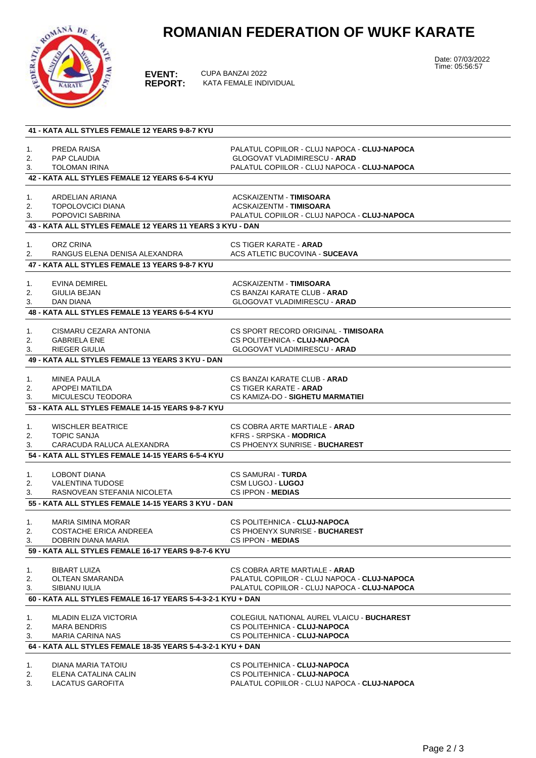# **ROMANIAN FEDERATION OF WUKF KARATE**



**EVENT:** CUPA BANZAI 2022<br>**REPORT:** KATA FEMALE INDI **KATA FEMALE INDIVIDUAL**  Date: 07/03/2022 Time: 05:56:57

| 41 - KATA ALL STYLES FEMALE 12 YEARS 9-8-7 KYU |                                                                           |                                                                                     |  |  |  |  |
|------------------------------------------------|---------------------------------------------------------------------------|-------------------------------------------------------------------------------------|--|--|--|--|
|                                                |                                                                           |                                                                                     |  |  |  |  |
| 1.<br>2.                                       | PREDA RAISA<br>PAP CLAUDIA                                                | PALATUL COPIILOR - CLUJ NAPOCA - CLUJ-NAPOCA<br><b>GLOGOVAT VLADIMIRESCU - ARAD</b> |  |  |  |  |
| 3.                                             | <b>TOLOMAN IRINA</b>                                                      | PALATUL COPIILOR - CLUJ NAPOCA - CLUJ-NAPOCA                                        |  |  |  |  |
|                                                | 42 - KATA ALL STYLES FEMALE 12 YEARS 6-5-4 KYU                            |                                                                                     |  |  |  |  |
|                                                |                                                                           |                                                                                     |  |  |  |  |
| 1.                                             | ARDELIAN ARIANA                                                           | ACSKAIZENTM - TIMISOARA                                                             |  |  |  |  |
| 2.                                             | <b>TOPOLOVCICI DIANA</b>                                                  | ACSKAIZENTM - TIMISOARA                                                             |  |  |  |  |
| 3.                                             | POPOVICI SABRINA                                                          | PALATUL COPIILOR - CLUJ NAPOCA - CLUJ-NAPOCA                                        |  |  |  |  |
|                                                | 43 - KATA ALL STYLES FEMALE 12 YEARS 11 YEARS 3 KYU - DAN                 |                                                                                     |  |  |  |  |
| 1.                                             | ORZ CRINA                                                                 | <b>CS TIGER KARATE - ARAD</b>                                                       |  |  |  |  |
| 2.                                             | RANGUS ELENA DENISA ALEXANDRA                                             | <b>ACS ATLETIC BUCOVINA - SUCEAVA</b>                                               |  |  |  |  |
|                                                | 47 - KATA ALL STYLES FEMALE 13 YEARS 9-8-7 KYU                            |                                                                                     |  |  |  |  |
|                                                |                                                                           |                                                                                     |  |  |  |  |
| 1.                                             | EVINA DEMIREL                                                             | ACSKAIZENTM - TIMISOARA                                                             |  |  |  |  |
| 2.                                             | GIULIA BEJAN                                                              | CS BANZAI KARATE CLUB - <b>ARAD</b>                                                 |  |  |  |  |
| 3.                                             | <b>DAN DIANA</b>                                                          | <b>GLOGOVAT VLADIMIRESCU - ARAD</b>                                                 |  |  |  |  |
|                                                | 48 - KATA ALL STYLES FEMALE 13 YEARS 6-5-4 KYU                            |                                                                                     |  |  |  |  |
|                                                |                                                                           |                                                                                     |  |  |  |  |
| 1.                                             | CISMARU CEZARA ANTONIA                                                    | CS SPORT RECORD ORIGINAL - TIMISOARA                                                |  |  |  |  |
| 2.                                             | <b>GABRIELA ENE</b>                                                       | CS POLITEHNICA - CLUJ-NAPOCA                                                        |  |  |  |  |
| 3.                                             | <b>RIEGER GIULIA</b>                                                      | <b>GLOGOVAT VLADIMIRESCU - ARAD</b>                                                 |  |  |  |  |
|                                                | 49 - KATA ALL STYLES FEMALE 13 YEARS 3 KYU - DAN                          |                                                                                     |  |  |  |  |
| 1.                                             | <b>MINEA PAULA</b>                                                        | CS BANZAI KARATE CLUB - <b>ARAD</b>                                                 |  |  |  |  |
| 2.                                             | APOPEI MATILDA                                                            | <b>CS TIGER KARATE - ARAD</b>                                                       |  |  |  |  |
| 3.                                             | MICULESCU TEODORA                                                         | CS KAMIZA-DO - SIGHETU MARMATIEI                                                    |  |  |  |  |
|                                                | 53 - KATA ALL STYLES FEMALE 14-15 YEARS 9-8-7 KYU                         |                                                                                     |  |  |  |  |
|                                                |                                                                           |                                                                                     |  |  |  |  |
| 1.                                             | <b>WISCHLER BEATRICE</b>                                                  | CS COBRA ARTE MARTIALE - <b>ARAD</b>                                                |  |  |  |  |
| 2.                                             | <b>TOPIC SANJA</b>                                                        | <b>KFRS - SRPSKA - MODRICA</b>                                                      |  |  |  |  |
| 3.                                             | CARACUDA RALUCA ALEXANDRA                                                 | CS PHOENYX SUNRISE - BUCHAREST                                                      |  |  |  |  |
|                                                | 54 - KATA ALL STYLES FEMALE 14-15 YEARS 6-5-4 KYU                         |                                                                                     |  |  |  |  |
| 1.                                             | LOBONT DIANA                                                              | <b>CS SAMURAI - TURDA</b>                                                           |  |  |  |  |
| 2.                                             | <b>VALENTINA TUDOSE</b>                                                   | <b>CSM LUGOJ - LUGOJ</b>                                                            |  |  |  |  |
| 3.                                             | RASNOVEAN STEFANIA NICOLETA                                               | CS IPPON MEDIAS                                                                     |  |  |  |  |
|                                                | 55 - KATA ALL STYLES FEMALE 14-15 YEARS 3 KYU - DAN                       |                                                                                     |  |  |  |  |
|                                                |                                                                           |                                                                                     |  |  |  |  |
| 1.                                             | <b>MARIA SIMINA MORAR</b>                                                 | CS POLITEHNICA - CLUJ-NAPOCA                                                        |  |  |  |  |
| 2.                                             | <b>COSTACHE ERICA ANDREEA</b>                                             | CS PHOENYX SUNRISE - BUCHAREST                                                      |  |  |  |  |
| 3.                                             | DOBRIN DIANA MARIA<br>59 - KATA ALL STYLES FEMALE 16-17 YEARS 9-8-7-6 KYU | <b>CS IPPON - MEDIAS</b>                                                            |  |  |  |  |
|                                                |                                                                           |                                                                                     |  |  |  |  |
| 1.                                             | <b>BIBART LUIZA</b>                                                       | CS COBRA ARTE MARTIALE - ARAD                                                       |  |  |  |  |
| 2.                                             | OLTEAN SMARANDA                                                           | PALATUL COPIILOR - CLUJ NAPOCA - CLUJ-NAPOCA                                        |  |  |  |  |
| 3.                                             | SIBIANU IULIA                                                             | PALATUL COPIILOR - CLUJ NAPOCA - CLUJ-NAPOCA                                        |  |  |  |  |
|                                                | 60 - KATA ALL STYLES FEMALE 16-17 YEARS 5-4-3-2-1 KYU + DAN               |                                                                                     |  |  |  |  |
| 1.                                             | <b>MLADIN ELIZA VICTORIA</b>                                              | COLEGIUL NATIONAL AUREL VLAICU - BUCHAREST                                          |  |  |  |  |
| 2.                                             | <b>MARA BENDRIS</b>                                                       | CS POLITEHNICA - CLUJ-NAPOCA                                                        |  |  |  |  |
| 3.                                             | <b>MARIA CARINA NAS</b>                                                   | CS POLITEHNICA - CLUJ-NAPOCA                                                        |  |  |  |  |
|                                                | 64 - KATA ALL STYLES FEMALE 18-35 YEARS 5-4-3-2-1 KYU + DAN               |                                                                                     |  |  |  |  |
|                                                |                                                                           |                                                                                     |  |  |  |  |
| 1.                                             | DIANA MARIA TATOIU                                                        | CS POLITEHNICA - CLUJ-NAPOCA                                                        |  |  |  |  |
| 2.                                             | ELENA CATALINA CALIN                                                      | CS POLITEHNICA - CLUJ-NAPOCA                                                        |  |  |  |  |
| 3.                                             | LACATUS GAROFITA                                                          | PALATUL COPIILOR - CLUJ NAPOCA - CLUJ-NAPOCA                                        |  |  |  |  |